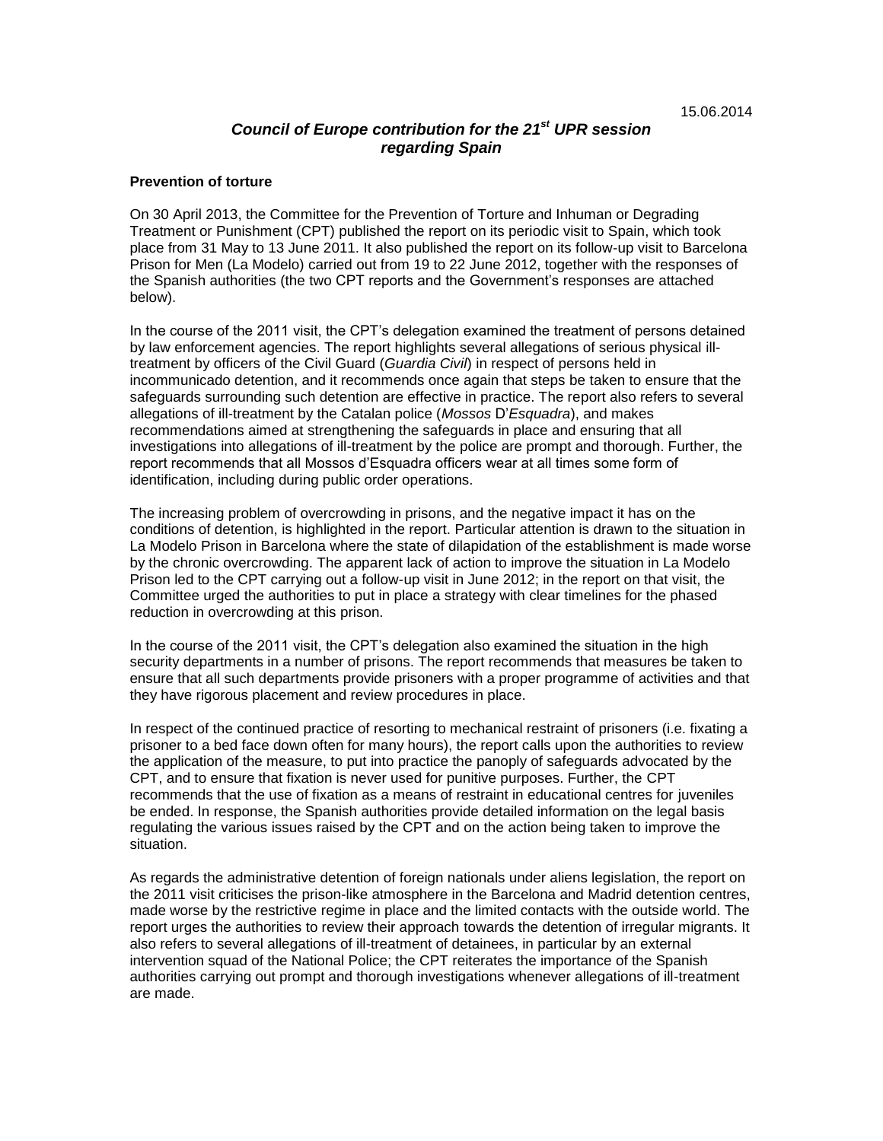# *Council of Europe contribution for the 21 st UPR session regarding Spain*

### **Prevention of torture**

On 30 April 2013, the Committee for the Prevention of Torture and Inhuman or Degrading Treatment or Punishment (CPT) published the report on its periodic visit to Spain, which took place from 31 May to 13 June 2011. It also published the report on its follow-up visit to Barcelona Prison for Men (La Modelo) carried out from 19 to 22 June 2012, together with the responses of the Spanish authorities (the two CPT reports and the Government's responses are attached below).

In the course of the 2011 visit, the CPT's delegation examined the treatment of persons detained by law enforcement agencies. The report highlights several allegations of serious physical illtreatment by officers of the Civil Guard (*Guardia Civil*) in respect of persons held in incommunicado detention, and it recommends once again that steps be taken to ensure that the safeguards surrounding such detention are effective in practice. The report also refers to several allegations of ill-treatment by the Catalan police (*Mossos* D'*Esquadra*), and makes recommendations aimed at strengthening the safeguards in place and ensuring that all investigations into allegations of ill-treatment by the police are prompt and thorough. Further, the report recommends that all Mossos d'Esquadra officers wear at all times some form of identification, including during public order operations.

The increasing problem of overcrowding in prisons, and the negative impact it has on the conditions of detention, is highlighted in the report. Particular attention is drawn to the situation in La Modelo Prison in Barcelona where the state of dilapidation of the establishment is made worse by the chronic overcrowding. The apparent lack of action to improve the situation in La Modelo Prison led to the CPT carrying out a follow-up visit in June 2012; in the report on that visit, the Committee urged the authorities to put in place a strategy with clear timelines for the phased reduction in overcrowding at this prison.

In the course of the 2011 visit, the CPT's delegation also examined the situation in the high security departments in a number of prisons. The report recommends that measures be taken to ensure that all such departments provide prisoners with a proper programme of activities and that they have rigorous placement and review procedures in place.

In respect of the continued practice of resorting to mechanical restraint of prisoners (i.e. fixating a prisoner to a bed face down often for many hours), the report calls upon the authorities to review the application of the measure, to put into practice the panoply of safeguards advocated by the CPT, and to ensure that fixation is never used for punitive purposes. Further, the CPT recommends that the use of fixation as a means of restraint in educational centres for juveniles be ended. In response, the Spanish authorities provide detailed information on the legal basis regulating the various issues raised by the CPT and on the action being taken to improve the situation.

As regards the administrative detention of foreign nationals under aliens legislation, the report on the 2011 visit criticises the prison-like atmosphere in the Barcelona and Madrid detention centres, made worse by the restrictive regime in place and the limited contacts with the outside world. The report urges the authorities to review their approach towards the detention of irregular migrants. It also refers to several allegations of ill-treatment of detainees, in particular by an external intervention squad of the National Police; the CPT reiterates the importance of the Spanish authorities carrying out prompt and thorough investigations whenever allegations of ill-treatment are made.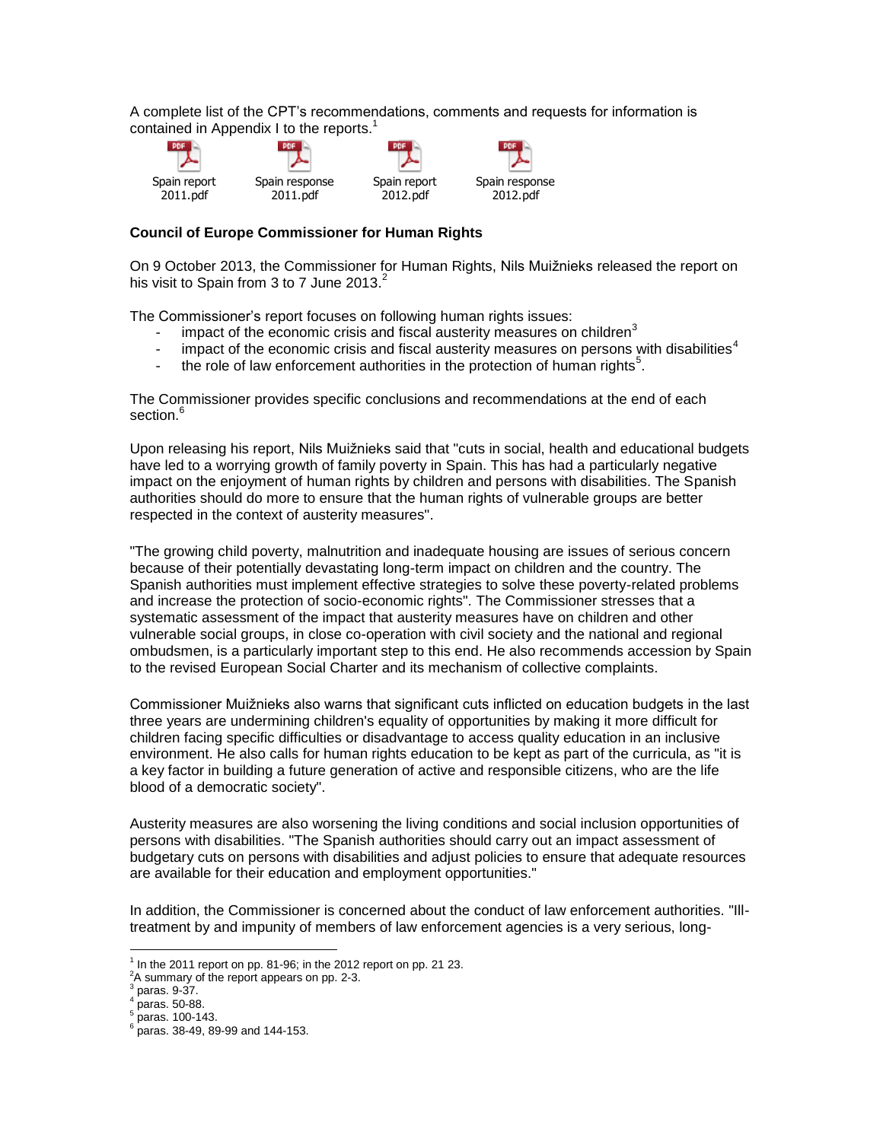A complete list of the CPT's recommendations, comments and requests for information is contained in Appendix I to the reports.<sup>1</sup>



### **Council of Europe Commissioner for Human Rights**

On 9 October 2013, the Commissioner for Human Rights, Nils Muižnieks released the report on his visit to Spain from 3 to 7 June 2013. $^2$ 

The Commissioner's report focuses on following human rights issues:

- impact of the economic crisis and fiscal austerity measures on children $3$
- impact of the economic crisis and fiscal austerity measures on persons with disabilities<sup>4</sup>
- the role of law enforcement authorities in the protection of human rights<sup>5</sup>.

The Commissioner provides specific conclusions and recommendations at the end of each section.<sup>6</sup>

Upon releasing his report, Nils Muižnieks said that "cuts in social, health and educational budgets have led to a worrying growth of family poverty in Spain. This has had a particularly negative impact on the enjoyment of human rights by children and persons with disabilities. The Spanish authorities should do more to ensure that the human rights of vulnerable groups are better respected in the context of austerity measures".

"The growing child poverty, malnutrition and inadequate housing are issues of serious concern because of their potentially devastating long-term impact on children and the country. The Spanish authorities must implement effective strategies to solve these poverty-related problems and increase the protection of socio-economic rights". The Commissioner stresses that a systematic assessment of the impact that austerity measures have on children and other vulnerable social groups, in close co-operation with civil society and the national and regional ombudsmen, is a particularly important step to this end. He also recommends accession by Spain to the revised European Social Charter and its mechanism of collective complaints.

Commissioner Muižnieks also warns that significant cuts inflicted on education budgets in the last three years are undermining children's equality of opportunities by making it more difficult for children facing specific difficulties or disadvantage to access quality education in an inclusive environment. He also calls for human rights education to be kept as part of the curricula, as "it is a key factor in building a future generation of active and responsible citizens, who are the life blood of a democratic society".

Austerity measures are also worsening the living conditions and social inclusion opportunities of persons with disabilities. "The Spanish authorities should carry out an impact assessment of budgetary cuts on persons with disabilities and adjust policies to ensure that adequate resources are available for their education and employment opportunities."

In addition, the Commissioner is concerned about the conduct of law enforcement authorities. "Illtreatment by and impunity of members of law enforcement agencies is a very serious, long-

 $<sup>1</sup>$  In the 2011 report on pp. 81-96; in the 2012 report on pp. 21 23.</sup>

 $^{2}$ A summary of the report appears on pp. 2-3.

paras. 9-37.

<sup>4</sup> paras. 50-88.

<sup>5</sup> paras. 100-143.

<sup>6</sup> paras. 38-49, 89-99 and 144-153.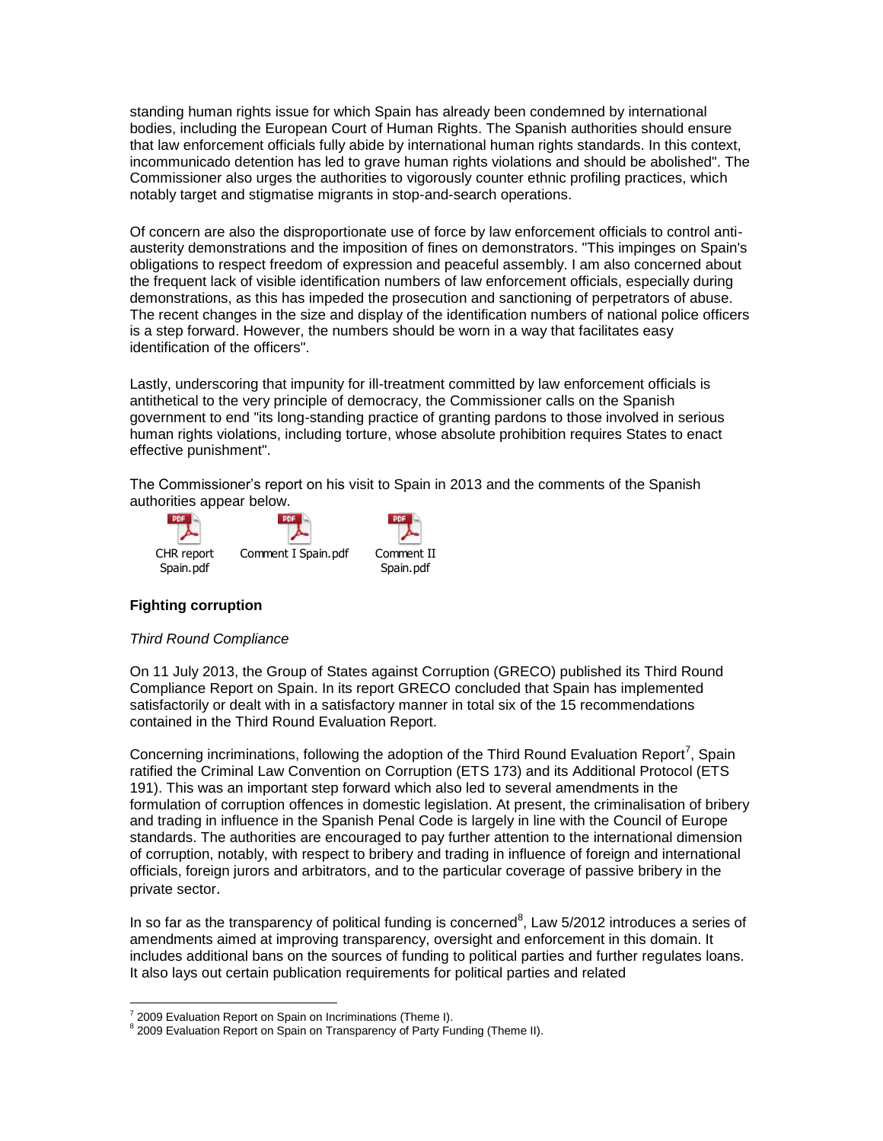standing human rights issue for which Spain has already been condemned by international bodies, including the European Court of Human Rights. The Spanish authorities should ensure that law enforcement officials fully abide by international human rights standards. In this context, incommunicado detention has led to grave human rights violations and should be abolished". The Commissioner also urges the authorities to vigorously counter ethnic profiling practices, which notably target and stigmatise migrants in stop-and-search operations.

Of concern are also the disproportionate use of force by law enforcement officials to control antiausterity demonstrations and the imposition of fines on demonstrators. "This impinges on Spain's obligations to respect freedom of expression and peaceful assembly. I am also concerned about the frequent lack of visible identification numbers of law enforcement officials, especially during demonstrations, as this has impeded the prosecution and sanctioning of perpetrators of abuse. The recent changes in the size and display of the identification numbers of national police officers is a step forward. However, the numbers should be worn in a way that facilitates easy identification of the officers".

Lastly, underscoring that impunity for ill-treatment committed by law enforcement officials is antithetical to the very principle of democracy, the Commissioner calls on the Spanish government to end "its long-standing practice of granting pardons to those involved in serious human rights violations, including torture, whose absolute prohibition requires States to enact effective punishment".

The Commissioner's report on his visit to Spain in 2013 and the comments of the Spanish authorities appear below.



# **Fighting corruption**

## *Third Round Compliance*

On 11 July 2013, the Group of States against Corruption (GRECO) published its Third Round Compliance Report on Spain. In its report GRECO concluded that Spain has implemented satisfactorily or dealt with in a satisfactory manner in total six of the 15 recommendations contained in the Third Round Evaluation Report.

Concerning incriminations, following the adoption of the Third Round Evaluation Report<sup>7</sup>, Spain ratified the Criminal Law Convention on Corruption (ETS 173) and its Additional Protocol (ETS 191). This was an important step forward which also led to several amendments in the formulation of corruption offences in domestic legislation. At present, the criminalisation of bribery and trading in influence in the Spanish Penal Code is largely in line with the Council of Europe standards. The authorities are encouraged to pay further attention to the international dimension of corruption, notably, with respect to bribery and trading in influence of foreign and international officials, foreign jurors and arbitrators, and to the particular coverage of passive bribery in the private sector.

In so far as the transparency of political funding is concerned<sup>8</sup>, Law 5/2012 introduces a series of amendments aimed at improving transparency, oversight and enforcement in this domain. It includes additional bans on the sources of funding to political parties and further regulates loans. It also lays out certain publication requirements for political parties and related

 7 2009 Evaluation Report on Spain on Incriminations (Theme I).

<sup>&</sup>lt;sup>8</sup> 2009 Evaluation Report on Spain on Transparency of Party Funding (Theme II).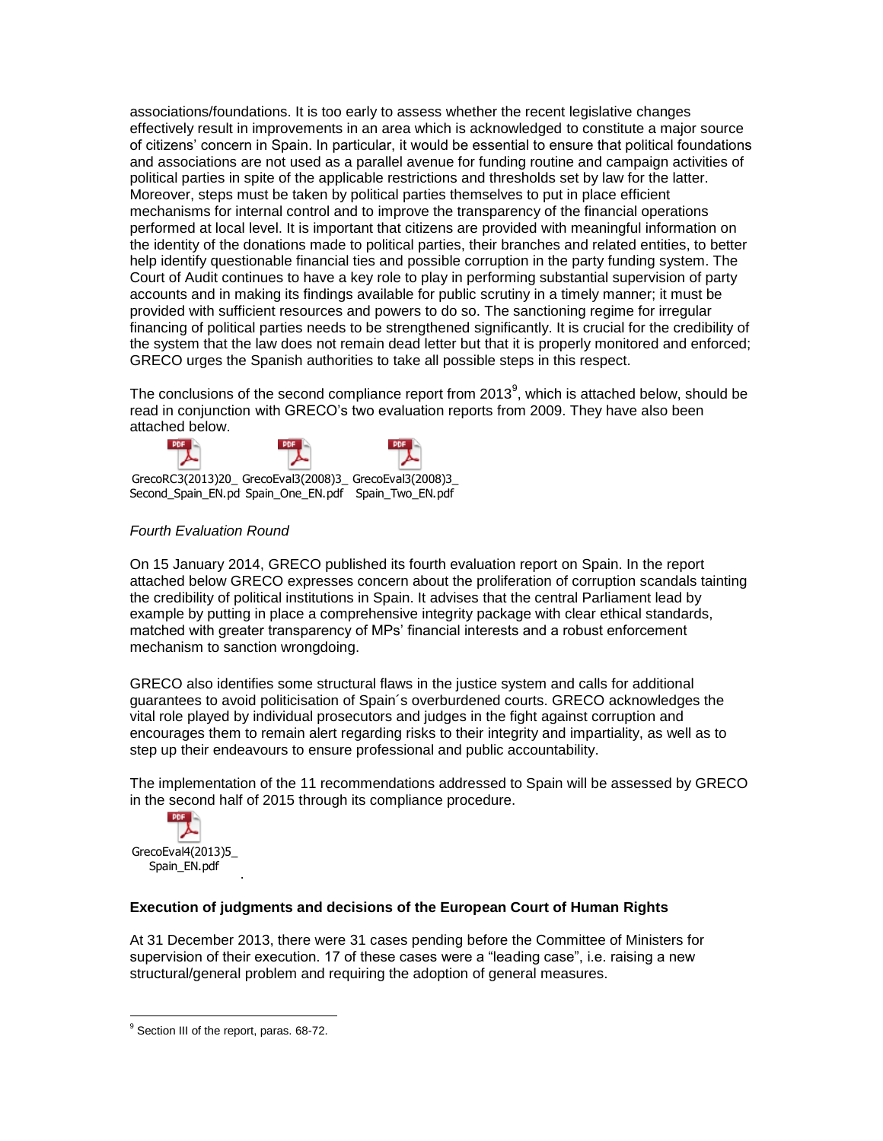associations/foundations. It is too early to assess whether the recent legislative changes effectively result in improvements in an area which is acknowledged to constitute a major source of citizens' concern in Spain. In particular, it would be essential to ensure that political foundations and associations are not used as a parallel avenue for funding routine and campaign activities of political parties in spite of the applicable restrictions and thresholds set by law for the latter. Moreover, steps must be taken by political parties themselves to put in place efficient mechanisms for internal control and to improve the transparency of the financial operations performed at local level. It is important that citizens are provided with meaningful information on the identity of the donations made to political parties, their branches and related entities, to better help identify questionable financial ties and possible corruption in the party funding system. The Court of Audit continues to have a key role to play in performing substantial supervision of party accounts and in making its findings available for public scrutiny in a timely manner; it must be provided with sufficient resources and powers to do so. The sanctioning regime for irregular financing of political parties needs to be strengthened significantly. It is crucial for the credibility of the system that the law does not remain dead letter but that it is properly monitored and enforced; GRECO urges the Spanish authorities to take all possible steps in this respect.

The conclusions of the second compliance report from 2013<sup>9</sup>, which is attached below, should be read in conjunction with GRECO's two evaluation reports from 2009. They have also been attached below.



# *Fourth Evaluation Round*

On 15 January 2014, GRECO published its fourth evaluation report on Spain. In the report attached below GRECO expresses concern about the proliferation of corruption scandals tainting the credibility of political institutions in Spain. It advises that the central Parliament lead by example by putting in place a comprehensive integrity package with clear ethical standards, matched with greater transparency of MPs' financial interests and a robust enforcement mechanism to sanction wrongdoing.

GRECO also identifies some structural flaws in the justice system and calls for additional guarantees to avoid politicisation of Spain´s overburdened courts. GRECO acknowledges the vital role played by individual prosecutors and judges in the fight against corruption and encourages them to remain alert regarding risks to their integrity and impartiality, as well as to step up their endeavours to ensure professional and public accountability.

The implementation of the 11 recommendations addressed to Spain will be assessed by GRECO in the second half of 2015 through its compliance procedure.



 $\overline{a}$ 

## **Execution of judgments and decisions of the European Court of Human Rights**

At 31 December 2013, there were 31 cases pending before the Committee of Ministers for supervision of their execution. 17 of these cases were a "leading case", i.e. raising a new structural/general problem and requiring the adoption of general measures.

.

<sup>&</sup>lt;sup>9</sup> Section III of the report, paras. 68-72.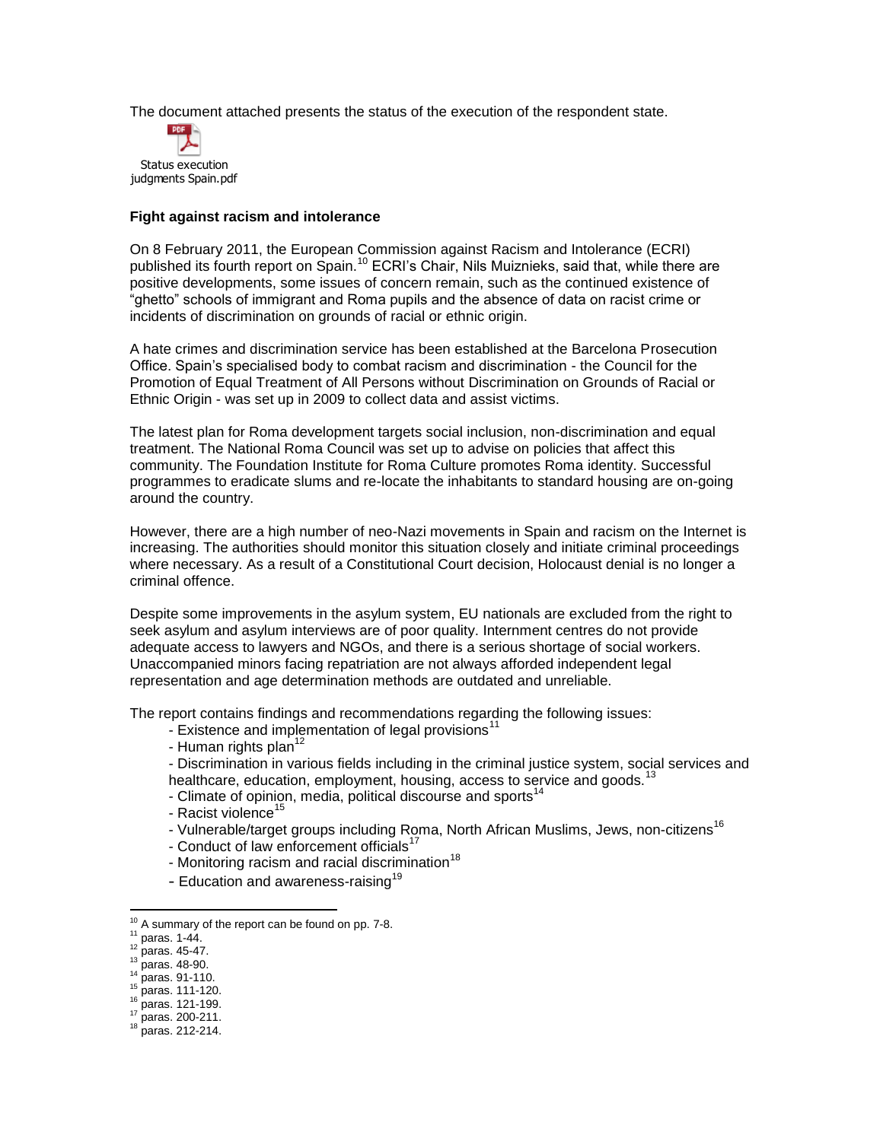The document attached presents the status of the execution of the respondent state.



### **Fight against racism and intolerance**

On 8 February 2011, the European Commission against Racism and Intolerance (ECRI) published its fourth report on Spain.<sup>10</sup> ECRI's Chair, Nils Muiznieks, said that, while there are positive developments, some issues of concern remain, such as the continued existence of "ghetto" schools of immigrant and Roma pupils and the absence of data on racist crime or incidents of discrimination on grounds of racial or ethnic origin.

A hate crimes and discrimination service has been established at the Barcelona Prosecution Office. Spain's specialised body to combat racism and discrimination - the Council for the Promotion of Equal Treatment of All Persons without Discrimination on Grounds of Racial or Ethnic Origin - was set up in 2009 to collect data and assist victims.

The latest plan for Roma development targets social inclusion, non-discrimination and equal treatment. The National Roma Council was set up to advise on policies that affect this community. The Foundation Institute for Roma Culture promotes Roma identity. Successful programmes to eradicate slums and re-locate the inhabitants to standard housing are on-going around the country.

However, there are a high number of neo-Nazi movements in Spain and racism on the Internet is increasing. The authorities should monitor this situation closely and initiate criminal proceedings where necessary. As a result of a Constitutional Court decision, Holocaust denial is no longer a criminal offence.

Despite some improvements in the asylum system, EU nationals are excluded from the right to seek asylum and asylum interviews are of poor quality. Internment centres do not provide adequate access to lawyers and NGOs, and there is a serious shortage of social workers. Unaccompanied minors facing repatriation are not always afforded independent legal representation and age determination methods are outdated and unreliable.

The report contains findings and recommendations regarding the following issues:

- Existence and implementation of legal provisions<sup>11</sup>
- Human rights plan $12$
- Discrimination in various fields including in the criminal justice system, social services and
- healthcare, education, employment, housing, access to service and goods.<sup>13</sup>
- Climate of opinion, media, political discourse and sports<sup>14</sup>
- Racist violence<sup>15</sup>
- Vulnerable/target groups including Roma, North African Muslims, Jews, non-citizens<sup>16</sup>
- Conduct of law enforcement officials<sup>17</sup>
- Monitoring racism and racial discrimination $18$
- Education and awareness-raising<sup>19</sup>

 $\overline{a}$ 

 $13 \text{ paras. } 48 \text{ -}90.$ 

<sup>16</sup> paras. 121-199.

 $10$  A summary of the report can be found on pp. 7-8.

 $11$  paras. 1-44.

 $12$  paras. 45-47.

<sup>&</sup>lt;sup>14</sup> paras. 91-110.

 $15$  paras. 111-120.

<sup>17</sup> paras. 200-211.

<sup>18</sup> paras. 212-214.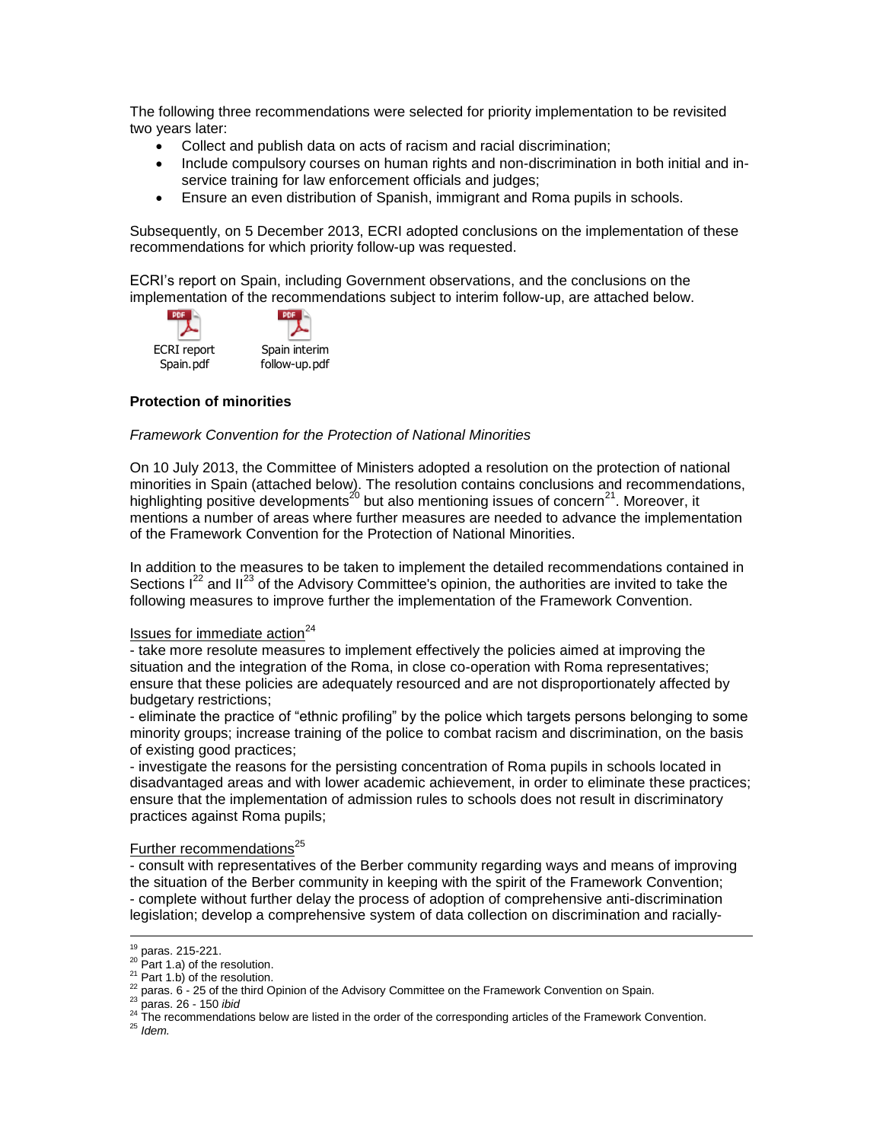The following three recommendations were selected for priority implementation to be revisited two years later:

- Collect and publish data on acts of racism and racial discrimination;
- Include compulsory courses on human rights and non-discrimination in both initial and inservice training for law enforcement officials and judges;
- Ensure an even distribution of Spanish, immigrant and Roma pupils in schools.

Subsequently, on 5 December 2013, ECRI adopted conclusions on the implementation of these recommendations for which priority follow-up was requested.

ECRI's report on Spain, including Government observations, and the conclusions on the implementation of the recommendations subject to interim follow-up, are attached below.



# **Protection of minorities**

## *Framework Convention for the Protection of National Minorities*

On 10 July 2013, the Committee of Ministers adopted a resolution on the protection of national minorities in Spain (attached below). The resolution contains conclusions and recommendations, highlighting positive developments<sup>20</sup> but also mentioning issues of concern<sup>21</sup>. Moreover, it mentions a number of areas where further measures are needed to advance the implementation of the Framework Convention for the Protection of National Minorities.

In addition to the measures to be taken to implement the detailed recommendations contained in Sections  $I^{22}$  and  $II^{23}$  of the Advisory Committee's opinion, the authorities are invited to take the following measures to improve further the implementation of the Framework Convention.

## Issues for immediate action<sup>24</sup>

- take more resolute measures to implement effectively the policies aimed at improving the situation and the integration of the Roma, in close co-operation with Roma representatives; ensure that these policies are adequately resourced and are not disproportionately affected by budgetary restrictions;

- eliminate the practice of "ethnic profiling" by the police which targets persons belonging to some minority groups; increase training of the police to combat racism and discrimination, on the basis of existing good practices;

- investigate the reasons for the persisting concentration of Roma pupils in schools located in disadvantaged areas and with lower academic achievement, in order to eliminate these practices; ensure that the implementation of admission rules to schools does not result in discriminatory practices against Roma pupils;

# Further recommendations<sup>25</sup>

- consult with representatives of the Berber community regarding ways and means of improving the situation of the Berber community in keeping with the spirit of the Framework Convention; - complete without further delay the process of adoption of comprehensive anti-discrimination legislation; develop a comprehensive system of data collection on discrimination and racially-

 $\overline{a}$ <sup>19</sup> paras. 215-221.

 $20$  Part 1.a) of the resolution.

 $21$  Part 1.b) of the resolution.

 $^{22}$  paras. 6 - 25 of the third Opinion of the Advisory Committee on the Framework Convention on Spain.

<sup>23</sup> paras. 26 - 150 *ibid*

<sup>&</sup>lt;sup>24</sup> The recommendations below are listed in the order of the corresponding articles of the Framework Convention.

<sup>25</sup> *Idem.*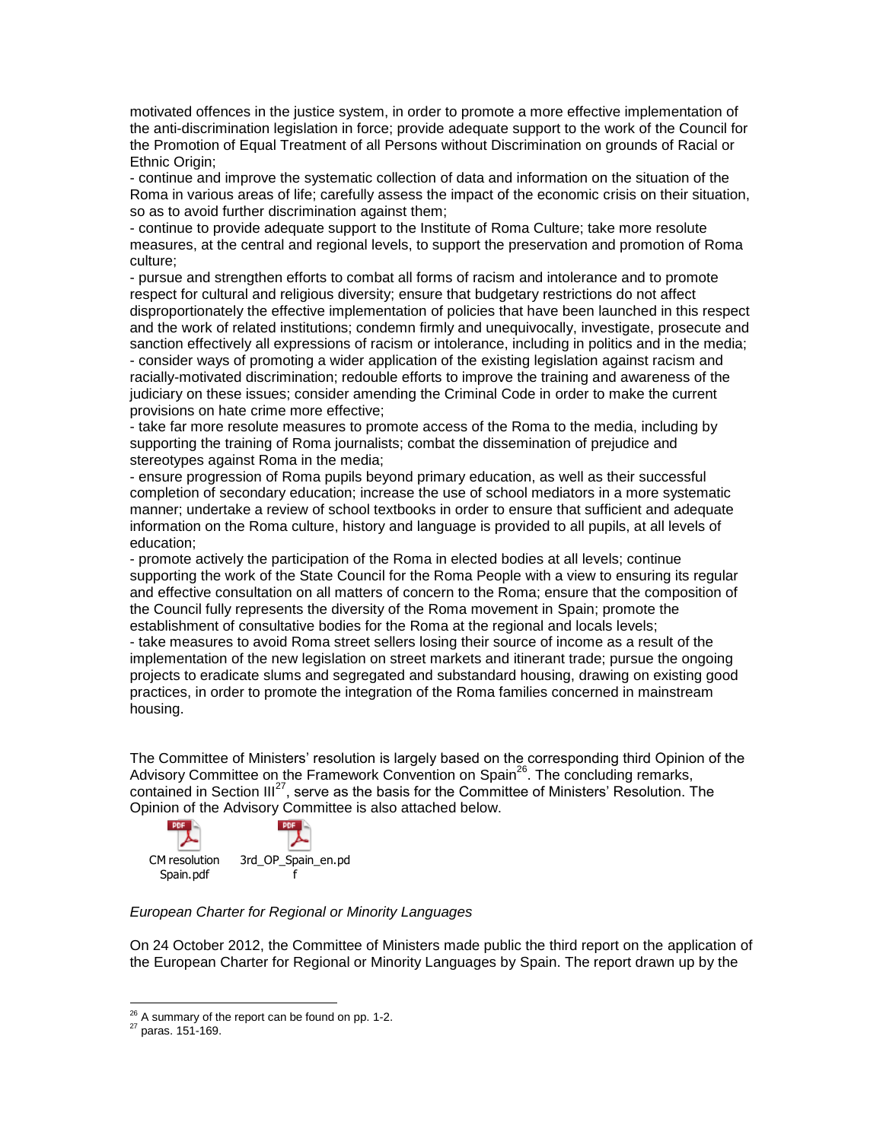motivated offences in the justice system, in order to promote a more effective implementation of the anti-discrimination legislation in force; provide adequate support to the work of the Council for the Promotion of Equal Treatment of all Persons without Discrimination on grounds of Racial or Ethnic Origin;

- continue and improve the systematic collection of data and information on the situation of the Roma in various areas of life; carefully assess the impact of the economic crisis on their situation, so as to avoid further discrimination against them;

- continue to provide adequate support to the Institute of Roma Culture; take more resolute measures, at the central and regional levels, to support the preservation and promotion of Roma culture;

- pursue and strengthen efforts to combat all forms of racism and intolerance and to promote respect for cultural and religious diversity; ensure that budgetary restrictions do not affect disproportionately the effective implementation of policies that have been launched in this respect and the work of related institutions; condemn firmly and unequivocally, investigate, prosecute and sanction effectively all expressions of racism or intolerance, including in politics and in the media; - consider ways of promoting a wider application of the existing legislation against racism and racially-motivated discrimination; redouble efforts to improve the training and awareness of the judiciary on these issues; consider amending the Criminal Code in order to make the current provisions on hate crime more effective;

- take far more resolute measures to promote access of the Roma to the media, including by supporting the training of Roma journalists; combat the dissemination of prejudice and stereotypes against Roma in the media;

- ensure progression of Roma pupils beyond primary education, as well as their successful completion of secondary education; increase the use of school mediators in a more systematic manner; undertake a review of school textbooks in order to ensure that sufficient and adequate information on the Roma culture, history and language is provided to all pupils, at all levels of education;

- promote actively the participation of the Roma in elected bodies at all levels; continue supporting the work of the State Council for the Roma People with a view to ensuring its regular and effective consultation on all matters of concern to the Roma; ensure that the composition of the Council fully represents the diversity of the Roma movement in Spain; promote the establishment of consultative bodies for the Roma at the regional and locals levels;

- take measures to avoid Roma street sellers losing their source of income as a result of the implementation of the new legislation on street markets and itinerant trade; pursue the ongoing projects to eradicate slums and segregated and substandard housing, drawing on existing good practices, in order to promote the integration of the Roma families concerned in mainstream housing.

The Committee of Ministers' resolution is largely based on the corresponding third Opinion of the Advisory Committee on the Framework Convention on Spain<sup>26</sup>. The concluding remarks, contained in Section III<sup>27</sup>, serve as the basis for the Committee of Ministers' Resolution. The Opinion of the Advisory Committee is also attached below.



## *European Charter for Regional or Minority Languages*

On 24 October 2012, the Committee of Ministers made public the third report on the application of the European Charter for Regional or Minority Languages by Spain. The report drawn up by the

 $26$  A summary of the report can be found on pp. 1-2.

<sup>27</sup> paras. 151-169.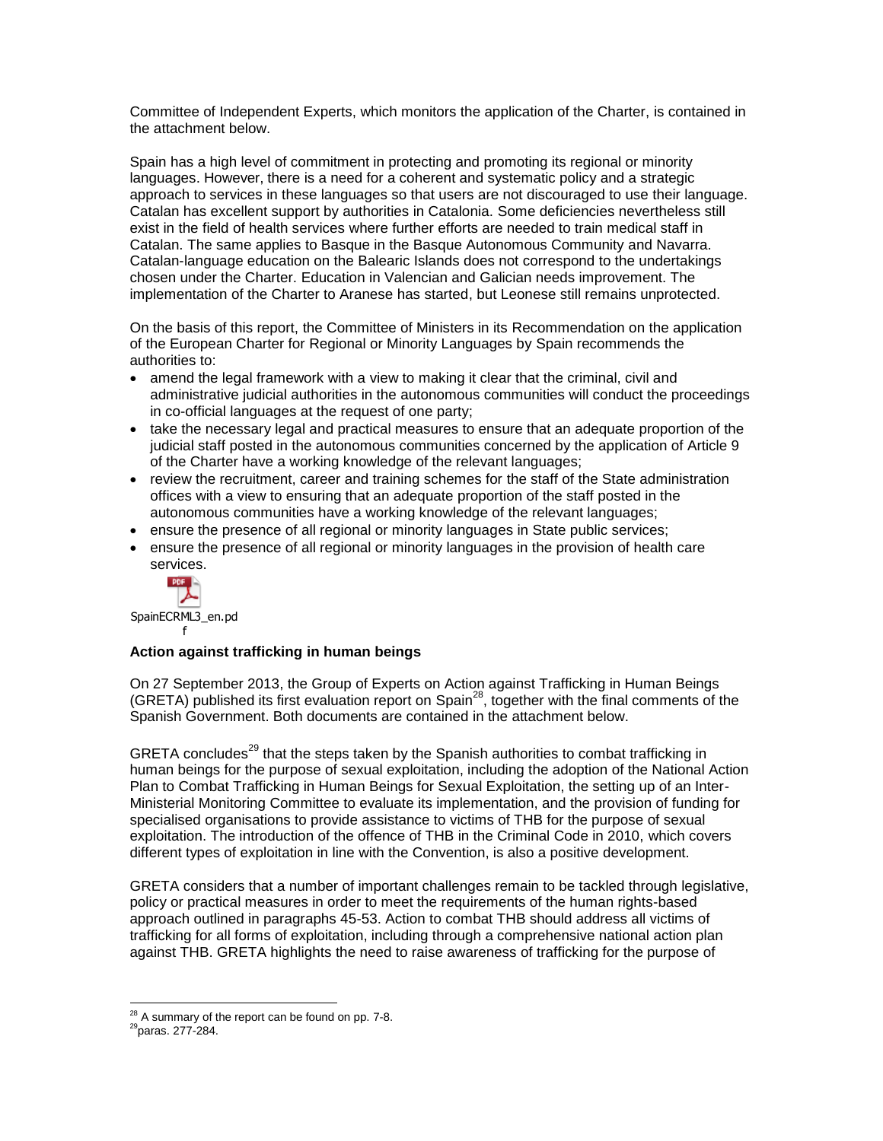Committee of Independent Experts, which monitors the application of the Charter, is contained in the attachment below.

Spain has a high level of commitment in protecting and promoting its regional or minority languages. However, there is a need for a coherent and systematic policy and a strategic approach to services in these languages so that users are not discouraged to use their language. Catalan has excellent support by authorities in Catalonia. Some deficiencies nevertheless still exist in the field of health services where further efforts are needed to train medical staff in Catalan. The same applies to Basque in the Basque Autonomous Community and Navarra. Catalan-language education on the Balearic Islands does not correspond to the undertakings chosen under the Charter. Education in Valencian and Galician needs improvement. The implementation of the Charter to Aranese has started, but Leonese still remains unprotected.

On the basis of this report, the Committee of Ministers in its Recommendation on the application of the European Charter for Regional or Minority Languages by Spain recommends the authorities to:

- amend the legal framework with a view to making it clear that the criminal, civil and administrative judicial authorities in the autonomous communities will conduct the proceedings in co-official languages at the request of one party;
- take the necessary legal and practical measures to ensure that an adequate proportion of the judicial staff posted in the autonomous communities concerned by the application of Article 9 of the Charter have a working knowledge of the relevant languages;
- review the recruitment, career and training schemes for the staff of the State administration offices with a view to ensuring that an adequate proportion of the staff posted in the autonomous communities have a working knowledge of the relevant languages;
- ensure the presence of all regional or minority languages in State public services;
- ensure the presence of all regional or minority languages in the provision of health care services.



SpainECRML3\_en.pd f

# **Action against trafficking in human beings**

On 27 September 2013, the Group of Experts on Action against Trafficking in Human Beings (GRETA) published its first evaluation report on Spain<sup>28</sup>, together with the final comments of the Spanish Government. Both documents are contained in the attachment below.

GRETA concludes<sup>29</sup> that the steps taken by the Spanish authorities to combat trafficking in human beings for the purpose of sexual exploitation, including the adoption of the National Action Plan to Combat Trafficking in Human Beings for Sexual Exploitation, the setting up of an Inter-Ministerial Monitoring Committee to evaluate its implementation, and the provision of funding for specialised organisations to provide assistance to victims of THB for the purpose of sexual exploitation. The introduction of the offence of THB in the Criminal Code in 2010, which covers different types of exploitation in line with the Convention, is also a positive development.

GRETA considers that a number of important challenges remain to be tackled through legislative, policy or practical measures in order to meet the requirements of the human rights-based approach outlined in paragraphs 45-53. Action to combat THB should address all victims of trafficking for all forms of exploitation, including through a comprehensive national action plan against THB. GRETA highlights the need to raise awareness of trafficking for the purpose of

 $^{28}$  A summary of the report can be found on pp. 7-8.

<sup>29</sup>paras. 277-284.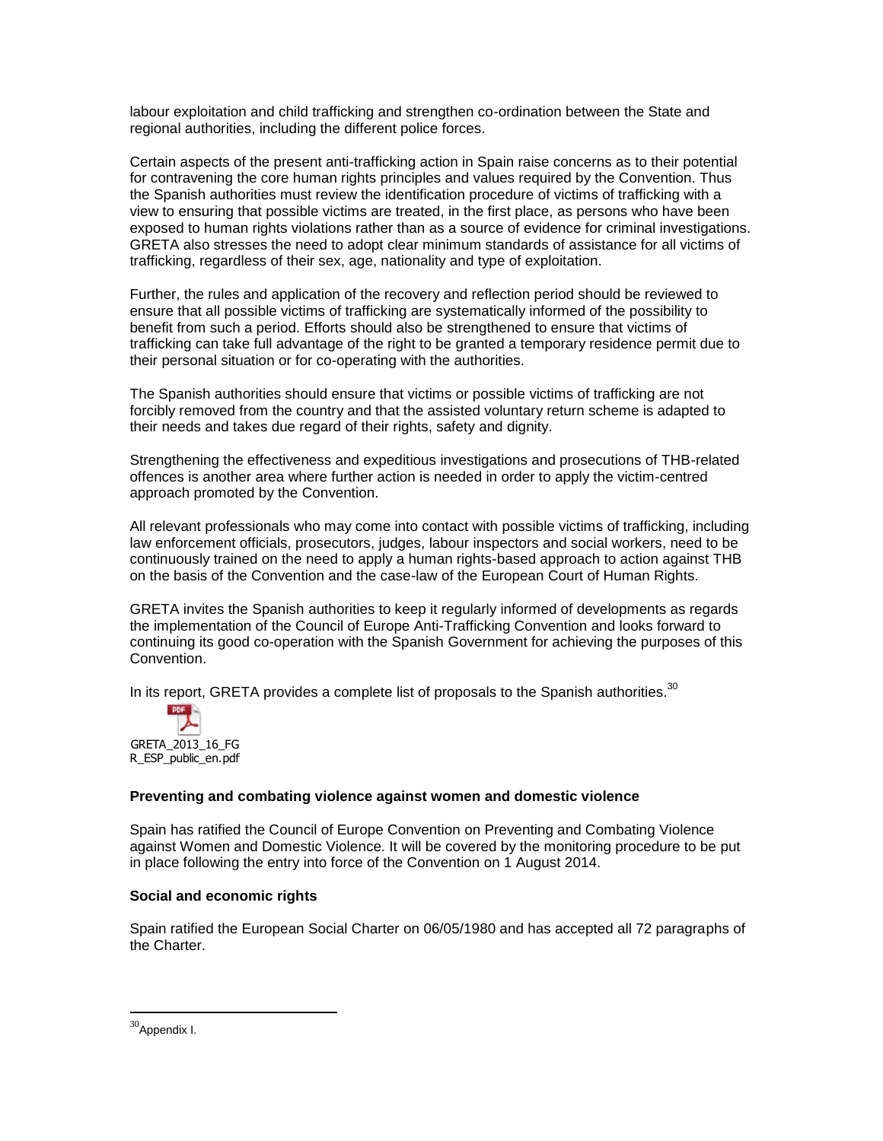labour exploitation and child trafficking and strengthen co-ordination between the State and regional authorities, including the different police forces.

Certain aspects of the present anti-trafficking action in Spain raise concerns as to their potential for contravening the core human rights principles and values required by the Convention. Thus the Spanish authorities must review the identification procedure of victims of trafficking with a view to ensuring that possible victims are treated, in the first place, as persons who have been exposed to human rights violations rather than as a source of evidence for criminal investigations. GRETA also stresses the need to adopt clear minimum standards of assistance for all victims of trafficking, regardless of their sex, age, nationality and type of exploitation.

Further, the rules and application of the recovery and reflection period should be reviewed to ensure that all possible victims of trafficking are systematically informed of the possibility to benefit from such a period. Efforts should also be strengthened to ensure that victims of trafficking can take full advantage of the right to be granted a temporary residence permit due to their personal situation or for co-operating with the authorities.

The Spanish authorities should ensure that victims or possible victims of trafficking are not forcibly removed from the country and that the assisted voluntary return scheme is adapted to their needs and takes due regard of their rights, safety and dignity.

Strengthening the effectiveness and expeditious investigations and prosecutions of THB-related offences is another area where further action is needed in order to apply the victim-centred approach promoted by the Convention.

All relevant professionals who may come into contact with possible victims of trafficking, including law enforcement officials, prosecutors, judges, labour inspectors and social workers, need to be continuously trained on the need to apply a human rights-based approach to action against THB on the basis of the Convention and the case-law of the European Court of Human Rights.

GRETA invites the Spanish authorities to keep it regularly informed of developments as regards the implementation of the Council of Europe Anti-Trafficking Convention and looks forward to continuing its good co-operation with the Spanish Government for achieving the purposes of this Convention.

In its report, GRETA provides a complete list of proposals to the Spanish authorities. $30$ 



## **Preventing and combating violence against women and domestic violence**

Spain has ratified the Council of Europe Convention on Preventing and Combating Violence against Women and Domestic Violence. It will be covered by the monitoring procedure to be put in place following the entry into force of the Convention on 1 August 2014.

## **Social and economic rights**

Spain ratified the European Social Charter on 06/05/1980 and has accepted all 72 paragraphs of the Charter.

 $30$ Appendix I.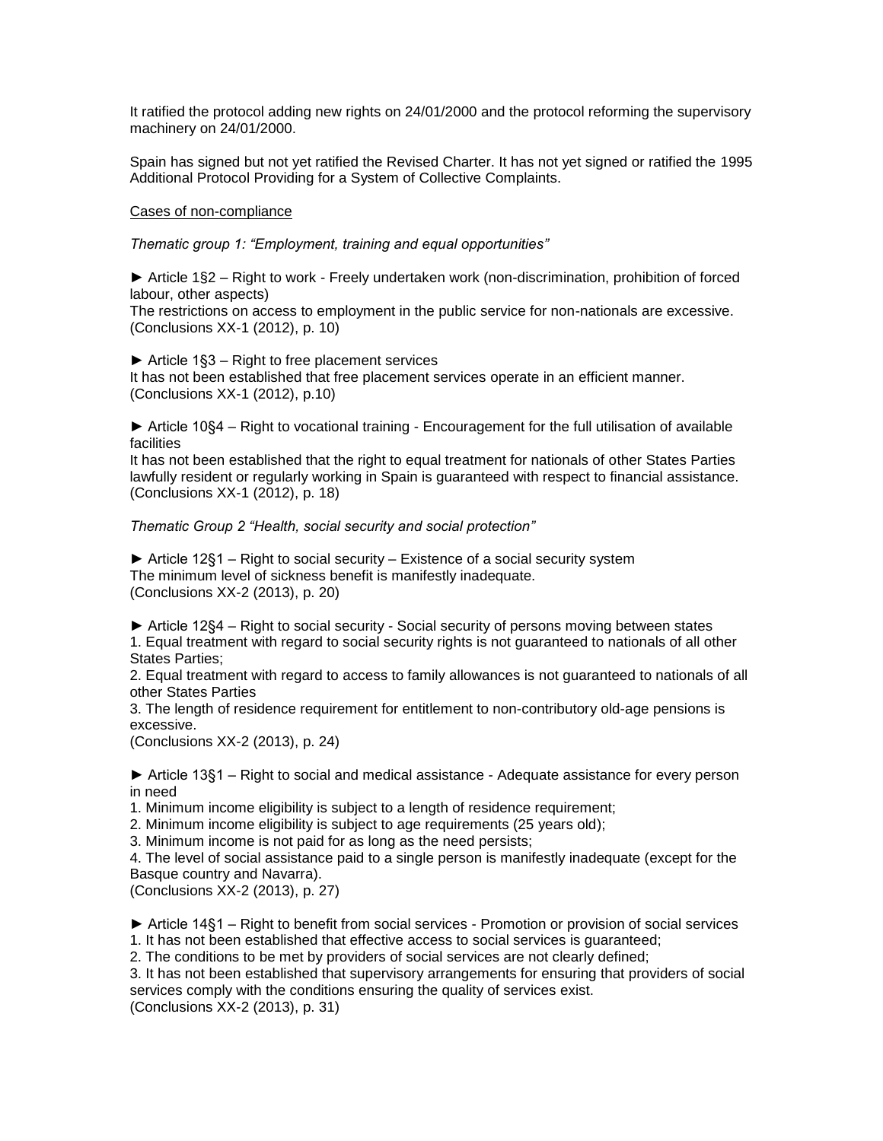It ratified the protocol adding new rights on 24/01/2000 and the protocol reforming the supervisory machinery on 24/01/2000.

Spain has signed but not yet ratified the Revised Charter. It has not yet signed or ratified the 1995 Additional Protocol Providing for a System of Collective Complaints.

### Cases of non-compliance

*Thematic group 1: "Employment, training and equal opportunities"* 

**►** Article 1§2 – Right to work - Freely undertaken work (non-discrimination, prohibition of forced labour, other aspects)

The restrictions on access to employment in the public service for non-nationals are excessive. (Conclusions XX-1 (2012), p. 10)

► Article 1§3 – Right to free placement services

It has not been established that free placement services operate in an efficient manner. (Conclusions XX-1 (2012), p.10)

► Article 10§4 – Right to vocational training - Encouragement for the full utilisation of available facilities

It has not been established that the right to equal treatment for nationals of other States Parties lawfully resident or regularly working in Spain is guaranteed with respect to financial assistance. (Conclusions XX-1 (2012), p. 18)

### *Thematic Group 2 "Health, social security and social protection"*

► Article 12§1 – Right to social security – Existence of a social security system The minimum level of sickness benefit is manifestly inadequate. (Conclusions XX-2 (2013), p. 20)

► Article 12§4 – Right to social security - Social security of persons moving between states 1. Equal treatment with regard to social security rights is not guaranteed to nationals of all other States Parties;

2. Equal treatment with regard to access to family allowances is not guaranteed to nationals of all other States Parties

3. The length of residence requirement for entitlement to non-contributory old-age pensions is excessive.

(Conclusions XX-2 (2013), p. 24)

► Article 13§1 – Right to social and medical assistance - Adequate assistance for every person in need

1. Minimum income eligibility is subject to a length of residence requirement;

2. Minimum income eligibility is subject to age requirements (25 years old);

3. Minimum income is not paid for as long as the need persists;

4. The level of social assistance paid to a single person is manifestly inadequate (except for the Basque country and Navarra).

(Conclusions XX-2 (2013), p. 27)

► Article 14§1 – Right to benefit from social services - Promotion or provision of social services 1. It has not been established that effective access to social services is guaranteed;

2. The conditions to be met by providers of social services are not clearly defined;

3. It has not been established that supervisory arrangements for ensuring that providers of social services comply with the conditions ensuring the quality of services exist.

(Conclusions XX-2 (2013), p. 31)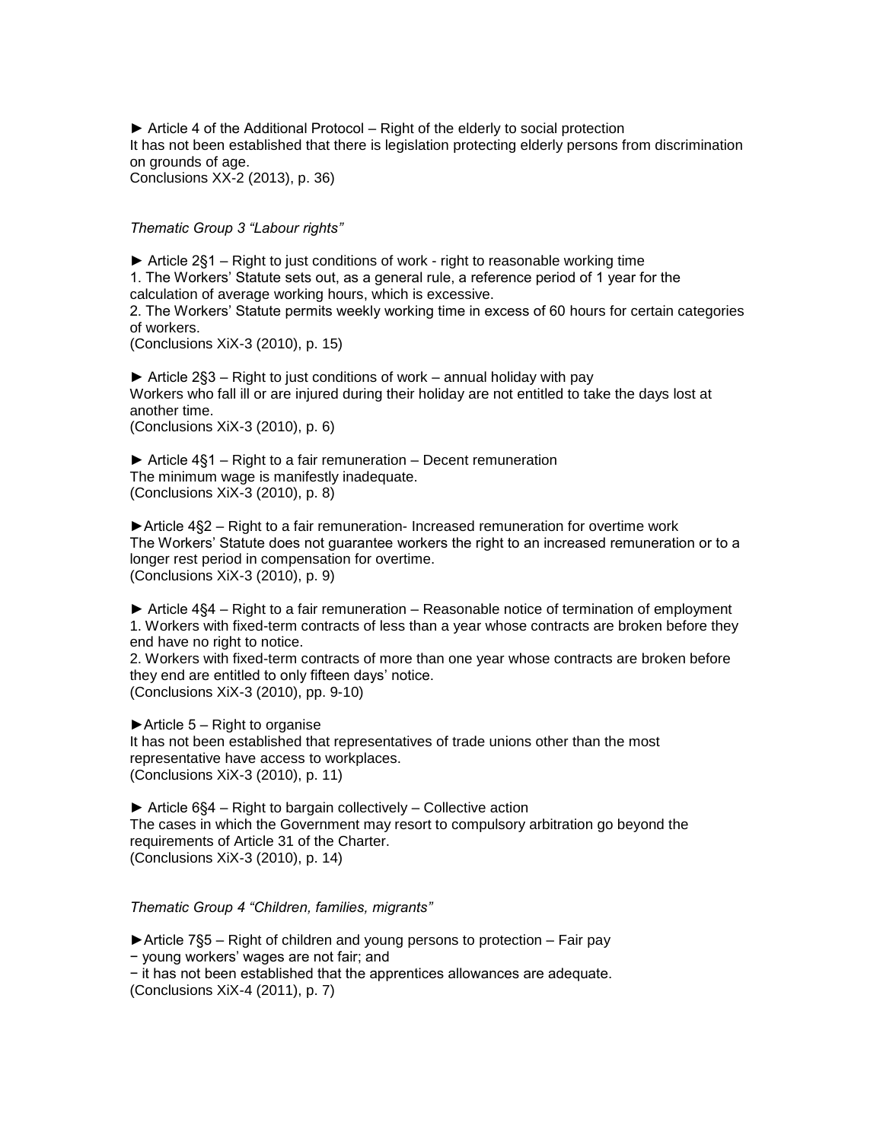► Article 4 of the Additional Protocol – Right of the elderly to social protection It has not been established that there is legislation protecting elderly persons from discrimination on grounds of age. Conclusions XX-2 (2013), p. 36)

*Thematic Group 3 "Labour rights"*

► Article 2§1 – Right to just conditions of work - right to reasonable working time 1. The Workers' Statute sets out, as a general rule, a reference period of 1 year for the calculation of average working hours, which is excessive.

2. The Workers' Statute permits weekly working time in excess of 60 hours for certain categories of workers.

(Conclusions XiX-3 (2010), p. 15)

► Article 2§3 – Right to just conditions of work – annual holiday with pay Workers who fall ill or are injured during their holiday are not entitled to take the days lost at another time. (Conclusions XiX-3 (2010), p. 6)

► Article 4§1 – Right to a fair remuneration – Decent remuneration The minimum wage is manifestly inadequate. (Conclusions XiX-3 (2010), p. 8)

►Article 4§2 – Right to a fair remuneration- Increased remuneration for overtime work The Workers' Statute does not guarantee workers the right to an increased remuneration or to a longer rest period in compensation for overtime. (Conclusions XiX-3 (2010), p. 9)

► Article 4§4 – Right to a fair remuneration – Reasonable notice of termination of employment 1. Workers with fixed-term contracts of less than a year whose contracts are broken before they end have no right to notice.

2. Workers with fixed-term contracts of more than one year whose contracts are broken before they end are entitled to only fifteen days' notice. (Conclusions XiX-3 (2010), pp. 9-10)

 $\blacktriangleright$  Article 5 – Right to organise It has not been established that representatives of trade unions other than the most representative have access to workplaces. (Conclusions XiX-3 (2010), p. 11)

► Article 6§4 – Right to bargain collectively – Collective action The cases in which the Government may resort to compulsory arbitration go beyond the requirements of Article 31 of the Charter. (Conclusions XiX-3 (2010), p. 14)

### *Thematic Group 4 "Children, families, migrants"*

►Article 7§5 – Right of children and young persons to protection – Fair pay

− young workers' wages are not fair; and

− it has not been established that the apprentices allowances are adequate.

(Conclusions XiX-4 (2011), p. 7)